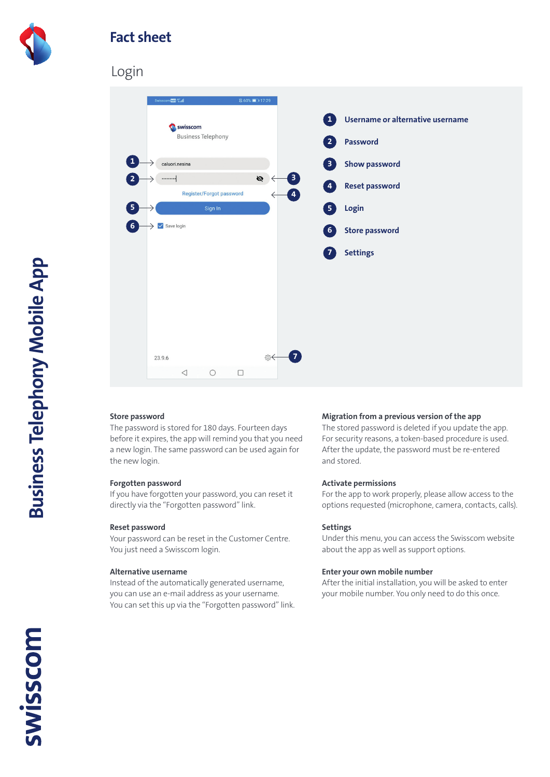

## **Fact sheet**

## Login



## **Store password**

The password is stored for 180 days. Fourteen days before it expires, the app will remind you that you need a new login. The same password can be used again for the new login.

### **Forgotten password**

If you have forgotten your password, you can reset it directly via the "Forgotten password" link.

#### **Reset password**

Your password can be reset in the Customer Centre. You just need a Swisscom login.

#### **Alternative username**

Instead of the automatically generated username, you can use an e-mail address as your username. You can set this up via the "Forgotten password" link.

#### **Migration from a previous version of the app**

The stored password is deleted if you update the app. For security reasons, a token-based procedure is used. After the update, the password must be re-entered and stored.

#### **Activate permissions**

For the app to work properly, please allow access to the options requested (microphone, camera, contacts, calls).

#### **Settings**

Under this menu, you can access the Swisscom website about the app as well as support options.

#### **Enter your own mobile number**

After the initial installation, you will be asked to enter your mobile number. You only need to do this once.

**SWISSCOM**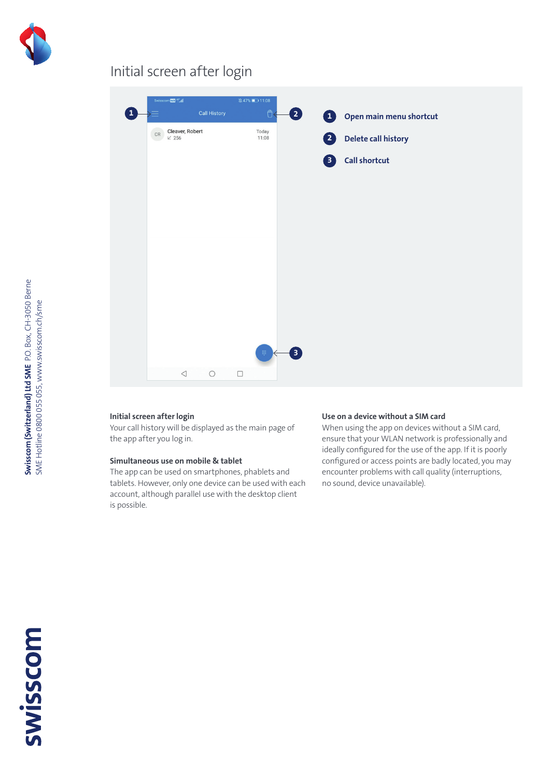

# Initial screen after login

| Swisscom Mill 46" all                            |                     | 11:08          |              |                            |
|--------------------------------------------------|---------------------|----------------|--------------|----------------------------|
|                                                  | <b>Call History</b> | $\vec{U}$      | 2            | 1 Open main menu shortcut  |
| Cleaver, Robert<br>$\mathsf{CR}$<br>$\times$ 256 |                     | Today<br>11:08 | 2            | <b>Delete call history</b> |
|                                                  |                     |                | 8            | <b>Call shortcut</b>       |
|                                                  |                     |                |              |                            |
|                                                  |                     |                |              |                            |
|                                                  |                     |                |              |                            |
|                                                  |                     |                |              |                            |
|                                                  |                     |                |              |                            |
|                                                  |                     |                |              |                            |
|                                                  |                     |                |              |                            |
|                                                  |                     |                |              |                            |
|                                                  |                     | 那              | $\mathbf{B}$ |                            |
| $\triangleleft$                                  | $\circ$             | $\Box$         |              |                            |

### **Initial screen after login**

Your call history will be displayed as the main page of the app after you log in.

## **Simultaneous use on mobile & tablet**

The app can be used on smartphones, phablets and tablets. However, only one device can be used with each account, although parallel use with the desktop client is possible.

### **Use on a device without a SIM card**

When using the app on devices without a SIM card, ensure that your WLAN network is professionally and ideally configured for the use of the app. If it is poorly configured or access points are badly located, you may encounter problems with call quality (interruptions, no sound, device unavailable).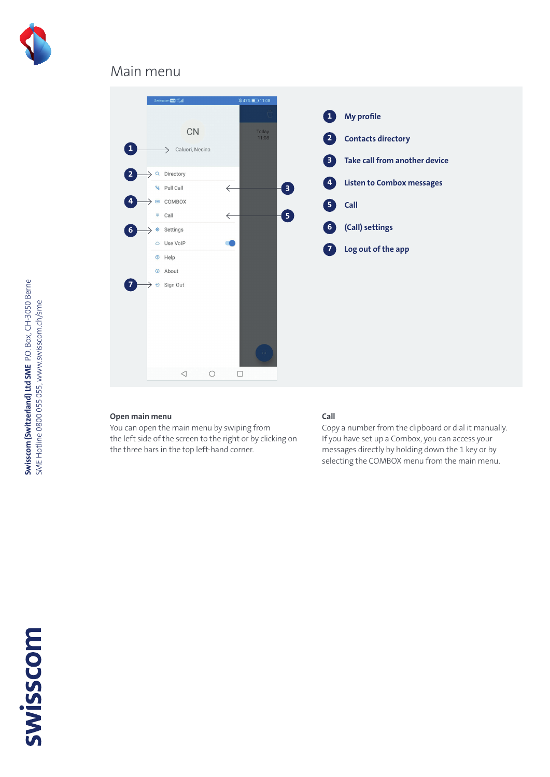

## Main menu



## **Open main menu**

You can open the main menu by swiping from the left side of the screen to the right or by clicking on the three bars in the top left-hand corner.

### **Call**

Copy a number from the clipboard or dial it manually. If you have set up a Combox, you can access your messages directly by holding down the 1 key or by selecting the COMBOX menu from the main menu.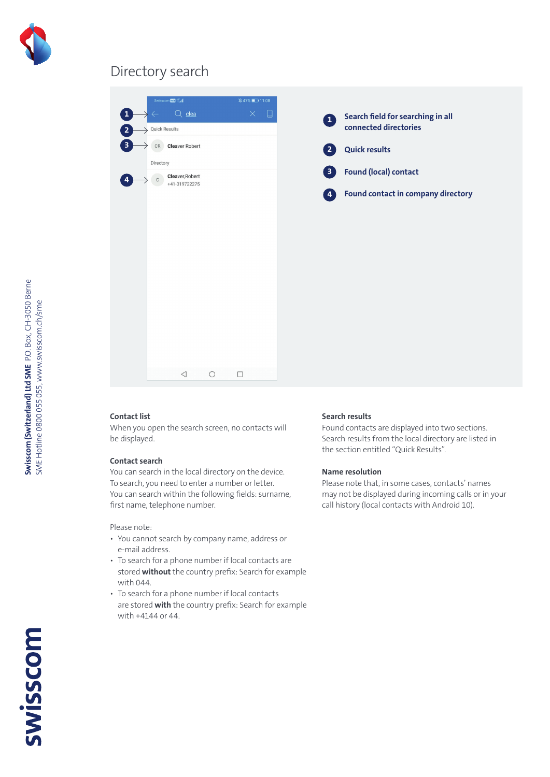

## Directory search



## **Contact list**

When you open the search screen, no contacts will be displayed.

## **Contact search**

You can search in the local directory on the device. To search, you need to enter a number or letter. You can search within the following fields: surname, first name, telephone number.

Please note:

- You cannot search by company name, address or e-mail address.
- To search for a phone number if local contacts are stored **without** the country prefix: Search for example with 044.
- To search for a phone number if local contacts are stored **with** the country prefix: Search for example with +4144 or 44.

### **Search results**

Found contacts are displayed into two sections. Search results from the local directory are listed in the section entitled "Quick Results".

### **Name resolution**

Please note that, in some cases, contacts' names may not be displayed during incoming calls or in your call history (local contacts with Android 10).

**Swisscom (Switzerland) Ltd SME** P.O. Box, CH-3050 Berne SME Hotline 0800 055 055, www.swisscom.ch/sme

Swisscom (Switzerland) Ltd SME P.O. Box, CH-3050 Berne SME Hotline 0800 055 055, www.swisscom.ch/sme